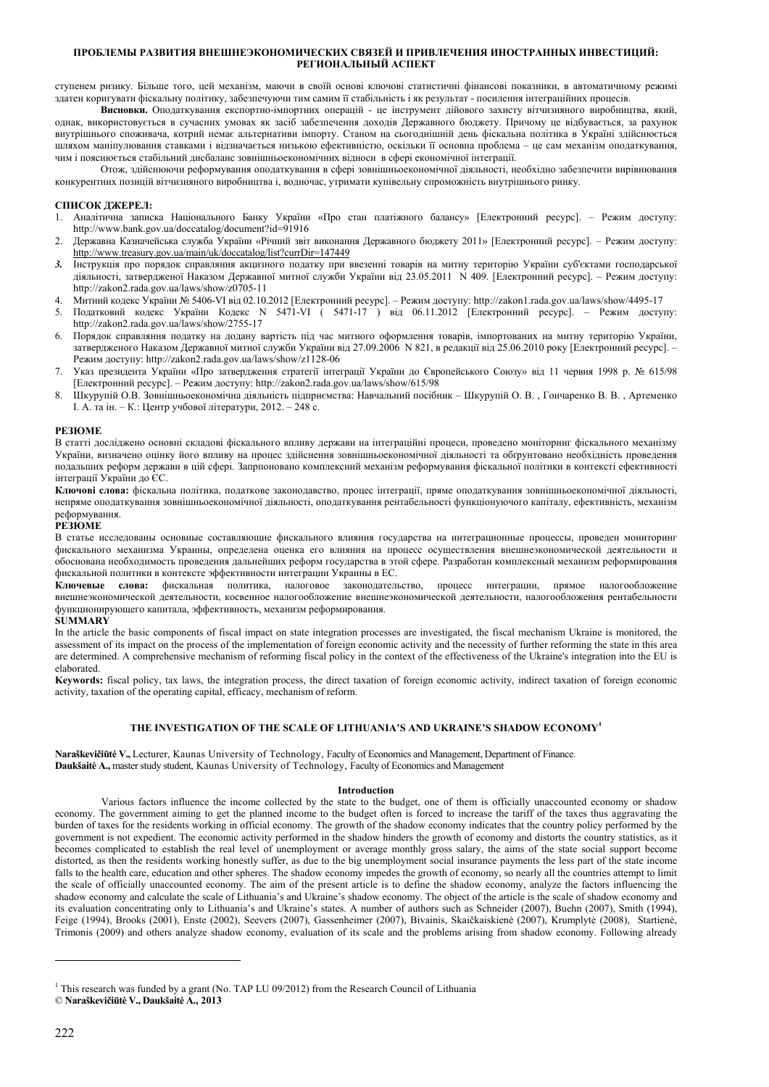ступенем ризику. Більше того, цей механізм, маючи в своїй основі ключові статистичні фінансові показники, в автоматичному режимі здатен коригувати фіскальну політику, забезпечуючи тим самим її стабільність і як результат - посилення інтеграційних процесів.

**Висновки.** Оподаткування експортно-імпортних операцій - це інструмент дійового захисту вітчизняного виробництва, який, однак, використовується в сучасних умовах як засіб забезпечення доходів Державного бюджету. Причому це відбувається, за рахунок внутрішнього споживача, котрий немає альтернативи імпорту. Станом на сьогоднішній день фіскальна політика в Україні здійснюється шляхом маніпулювання ставками і відзначається низькою ефективністю, оскільки її основна проблема – це сам механізм оподаткування, чим і пояснюється стабільний дисбаланс зовнішньоекономічних відноси в сфері економічної інтеграції.

Отож, здійснюючи реформування оподаткування в сфері зовнішньоекономічної діяльності, необхідно забезпечити вирівнювання конкурентних позицій вітчизняного виробництва і, водночас, утримати купівельну спроможність внутрішнього ринку.

## **СПИСОК ДЖЕРЕЛ:**

- 1. Аналітична записка Національного Банку України «Про стан платіжного балансу» [Електронний ресурс]. Режим доступу: http://www.bank.gov.ua/doccatalog/document?id=91916
- 2. Державна Казначейська служба України «Річний звіт виконання Державного бюджету 2011» [Електронний ресурс]. Режим доступу: http://www.treasury.gov.ua/main/uk/doccatalog/list?currDir=147449
- *3.* Інструкція про порядок справляння акцизного податку при ввезенні товарів на митну територію України суб'єктами господарської діяльності, затвердженої Наказом Державної митної служби України від 23.05.2011 N 409. [Електронний ресурс]. – Режим доступу: http://zakon2.rada.gov.ua/laws/show/z0705-11
- 4. Митний кодекс України № 5406-VI від 02.10.2012 [Електронний ресурс]. Режим доступу: http://zakon1.rada.gov.ua/laws/show/4495-17
- 5. Податковий кодекс України Кодекс N 5471-VI ( 5471-17 ) від 06.11.2012 [Електронний ресурс]. Режим доступу: http://zakon2.rada.gov.ua/laws/show/2755-17
- 6. Порядок справляння податку на додану вартість під час митного оформлення товарів, імпортованих на митну територію України, затвердженого Наказом Державної митної служби України від 27.09.2006 N 821, в редакції від 25.06.2010 року [Електронний ресурс]. – Режим доступу: http://zakon2.rada.gov.ua/laws/show/z1128-06
- 7. Указ президента України «Про затвердження стратегії інтеграції України до Європейського Союзу» від 11 червня 1998 р. № 615/98 [Електронний ресурс]. – Режим доступу: http://zakon2.rada.gov.ua/laws/show/615/98
- 8. Шкурупій О.В. Зовнішньоекономічна діяльність підприємства: Навчальний посібник Шкурупій О. В. , Гончаренко В. В. , Артеменко І. А. та ін. – К.: Центр учбової літератури, 2012. – 248 с.

#### **РЕЗЮМЕ**

В статті досліджено основні складові фіскального впливу держави на інтеграційні процеси, проведено моніторинг фіскального механізму України, визначено оцінку його впливу на процес здійснення зовнішньоекономічної діяльності та обґрунтовано необхідність проведення подальших реформ держави в цій сфері. Запрпоновано комплексний механізм реформування фіскальної політики в контексті ефективності інтеграції України до ЄС.

**Ключові слова:** фіскальна політика, податкове законодавство, процес інтеграції, пряме оподаткування зовнішньоекономічної діяльності, непряме оподаткування зовнішньоекономічної діяльності, оподаткування рентабельності функціонуючого капіталу, ефективність, механізм реформування.

## **РЕЗЮМЕ**

В статье исследованы основные составляющие фискального влияния государства на интеграционные процессы, проведен мониторинг фискального механизма Украины, определена оценка его влияния на процесс осуществления внешнеэкономической деятельности и обоснована необходимость проведения дальнейших реформ государства в этой сфере. Разработан комплексный механизм реформирования фискальной политики в контексте эффективности интеграции Украины в ЕС.

**Ключевые слова:** фискальная политика, налоговое законодательство, процесс интеграции, прямое налогообложение внешнеэкономической деятельности, косвенное налогообложение внешнеэкономической деятельности, налогообложения рентабельности функционирующего капитала, эффективность, механизм реформирования.

#### **SUMMARY**

In the article the basic components of fiscal impact on state integration processes are investigated, the fiscal mechanism Ukraine is monitored, the assessment of its impact on the process of the implementation of foreign economic activity and the necessity of further reforming the state in this area are determined. A comprehensive mechanism of reforming fiscal policy in the context of the effectiveness of the Ukraine's integration into the EU is elaborated.

**Keywords:** fiscal policy, tax laws, the integration process, the direct taxation of foreign economic activity, indirect taxation of foreign economic activity, taxation of the operating capital, efficacy, mechanism of reform.

# **THE INVESTIGATION OF THE SCALE OF LITHUANIA'S AND UKRAINE'S SHADOW ECONOMY<sup>1</sup>**

**Naraškevičiūtė V.,** Lecturer, Kaunas University of Technology, Faculty of Economics and Management, Department of Finance. **Daukšaitė A.,** master study student, Kaunas University of Technology, Faculty of Economics and Management

#### **Introduction**

 Various factors influence the income collected by the state to the budget, one of them is officially unaccounted economy or shadow economy. The government aiming to get the planned income to the budget often is forced to increase the tariff of the taxes thus aggravating the burden of taxes for the residents working in official economy. The growth of the shadow economy indicates that the country policy performed by the government is not expedient. The economic activity performed in the shadow hinders the growth of economy and distorts the country statistics, as it becomes complicated to establish the real level of unemployment or average monthly gross salary, the aims of the state social support become distorted, as then the residents working honestly suffer, as due to the big unemployment social insurance payments the less part of the state income falls to the health care, education and other spheres. The shadow economy impedes the growth of economy, so nearly all the countries attempt to limit the scale of officially unaccounted economy. The aim of the present article is to define the shadow economy, analyze the factors influencing the shadow economy and calculate the scale of Lithuania's and Ukraine's shadow economy. The object of the article is the scale of shadow economy and its evaluation concentrating only to Lithuania's and Ukraine's states. A number of authors such as Schneider (2007), Buehn (2007), Smith (1994), Feige (1994), Brooks (2001), Enste (2002), Seevers (2007), Gassenheimer (2007), Bivainis, Skaičkaiskienė (2007), Krumplytė (2008), Startienė, Trimonis (2009) and others analyze shadow economy, evaluation of its scale and the problems arising from shadow economy. Following already

<sup>&</sup>lt;sup>1</sup> This research was funded by a grant (No. TAP LU 09/2012) from the Research Council of Lithuania © **Naraškevičiūtė V., Daukšaitė A., 2013**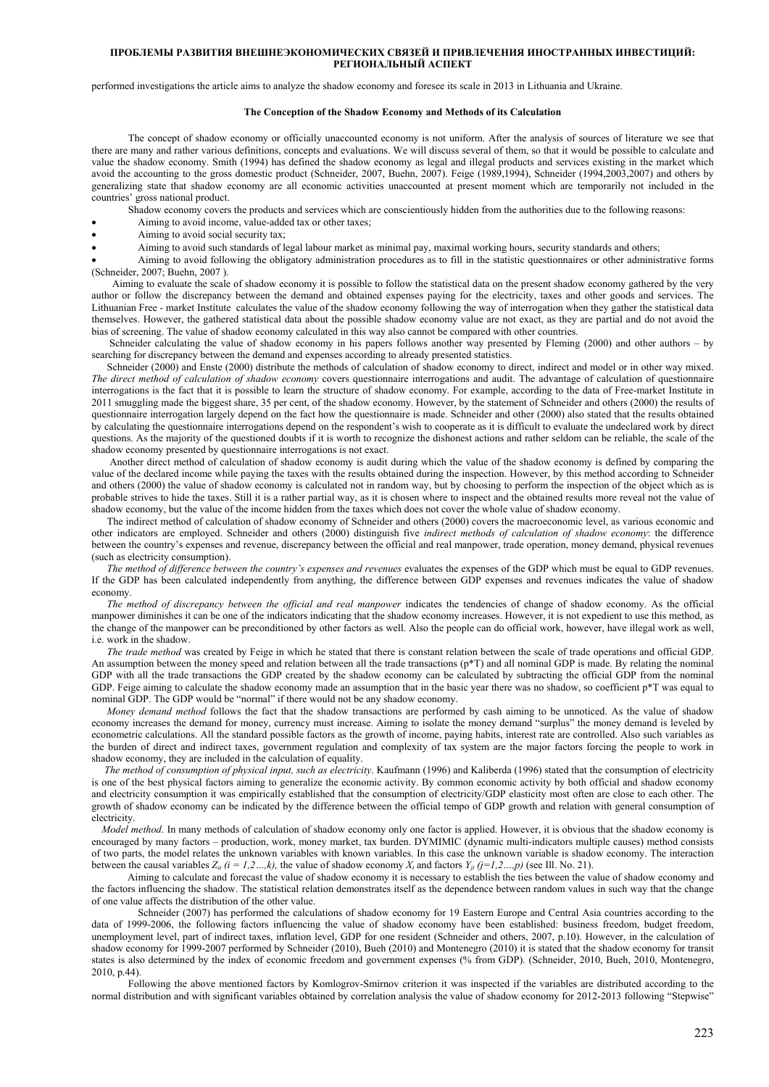performed investigations the article aims to analyze the shadow economy and foresee its scale in 2013 in Lithuania and Ukraine.

#### **The Conception of the Shadow Economy and Methods of its Calculation**

The concept of shadow economy or officially unaccounted economy is not uniform. After the analysis of sources of literature we see that there are many and rather various definitions, concepts and evaluations. We will discuss several of them, so that it would be possible to calculate and value the shadow economy. Smith (1994) has defined the shadow economy as legal and illegal products and services existing in the market which avoid the accounting to the gross domestic product (Schneider, 2007, Buehn, 2007). Feige (1989,1994), Schneider (1994,2003,2007) and others by generalizing state that shadow economy are all economic activities unaccounted at present moment which are temporarily not included in the countries' gross national product.

Shadow economy covers the products and services which are conscientiously hidden from the authorities due to the following reasons:

- Aiming to avoid income, value-added tax or other taxes;
- Aiming to avoid social security tax;

Aiming to avoid such standards of legal labour market as minimal pay, maximal working hours, security standards and others;

 Aiming to avoid following the obligatory administration procedures as to fill in the statistic questionnaires or other administrative forms (Schneider, 2007; Buehn, 2007 ).

 Aiming to evaluate the scale of shadow economy it is possible to follow the statistical data on the present shadow economy gathered by the very author or follow the discrepancy between the demand and obtained expenses paying for the electricity, taxes and other goods and services. The Lithuanian Free - market Institute calculates the value of the shadow economy following the way of interrogation when they gather the statistical data themselves. However, the gathered statistical data about the possible shadow economy value are not exact, as they are partial and do not avoid the bias of screening. The value of shadow economy calculated in this way also cannot be compared with other countries.

 Schneider calculating the value of shadow economy in his papers follows another way presented by Fleming (2000) and other authors – by searching for discrepancy between the demand and expenses according to already presented statistics.

Schneider (2000) and Enste (2000) distribute the methods of calculation of shadow economy to direct, indirect and model or in other way mixed. *The direct method of calculation of shadow economy* covers questionnaire interrogations and audit. The advantage of calculation of questionnaire interrogations is the fact that it is possible to learn the structure of shadow economy. For example, according to the data of Free-market Institute in 2011 smuggling made the biggest share, 35 per cent, of the shadow economy. However, by the statement of Schneider and others (2000) the results of questionnaire interrogation largely depend on the fact how the questionnaire is made. Schneider and other (2000) also stated that the results obtained by calculating the questionnaire interrogations depend on the respondent's wish to cooperate as it is difficult to evaluate the undeclared work by direct questions. As the majority of the questioned doubts if it is worth to recognize the dishonest actions and rather seldom can be reliable, the scale of the shadow economy presented by questionnaire interrogations is not exact.

 Another direct method of calculation of shadow economy is audit during which the value of the shadow economy is defined by comparing the value of the declared income while paying the taxes with the results obtained during the inspection. However, by this method according to Schneider and others (2000) the value of shadow economy is calculated not in random way, but by choosing to perform the inspection of the object which as is probable strives to hide the taxes. Still it is a rather partial way, as it is chosen where to inspect and the obtained results more reveal not the value of shadow economy, but the value of the income hidden from the taxes which does not cover the whole value of shadow economy.

 The indirect method of calculation of shadow economy of Schneider and others (2000) covers the macroeconomic level, as various economic and other indicators are employed. Schneider and others (2000) distinguish five *indirect methods of calculation of shadow economy*: the difference between the country's expenses and revenue, discrepancy between the official and real manpower, trade operation, money demand, physical revenues (such as electricity consumption).

 *The method of difference between the country's expenses and revenues* evaluates the expenses of the GDP which must be equal to GDP revenues. If the GDP has been calculated independently from anything, the difference between GDP expenses and revenues indicates the value of shadow economy.

 *The method of discrepancy between the official and real manpower* indicates the tendencies of change of shadow economy. As the official manpower diminishes it can be one of the indicators indicating that the shadow economy increases. However, it is not expedient to use this method, as the change of the manpower can be preconditioned by other factors as well. Also the people can do official work, however, have illegal work as well, i.e. work in the shadow.

 *The trade method* was created by Feige in which he stated that there is constant relation between the scale of trade operations and official GDP. An assumption between the money speed and relation between all the trade transactions  $(p^*T)$  and all nominal GDP is made. By relating the nominal GDP with all the trade transactions the GDP created by the shadow economy can be calculated by subtracting the official GDP from the nominal GDP. Feige aiming to calculate the shadow economy made an assumption that in the basic year there was no shadow, so coefficient  $p^*T$  was equal to nominal GDP. The GDP would be "normal" if there would not be any shadow economy.

 *Money demand method* follows the fact that the shadow transactions are performed by cash aiming to be unnoticed. As the value of shadow economy increases the demand for money, currency must increase. Aiming to isolate the money demand "surplus" the money demand is leveled by econometric calculations. All the standard possible factors as the growth of income, paying habits, interest rate are controlled. Also such variables as the burden of direct and indirect taxes, government regulation and complexity of tax system are the major factors forcing the people to work in shadow economy, they are included in the calculation of equality.

 *The method of consumption of physical input, such as electricity*. Kaufmann (1996) and Kaliberda (1996) stated that the consumption of electricity is one of the best physical factors aiming to generalize the economic activity. By common economic activity by both official and shadow economy and electricity consumption it was empirically established that the consumption of electricity/GDP elasticity most often are close to each other. The growth of shadow economy can be indicated by the difference between the official tempo of GDP growth and relation with general consumption of electricity.

*Model method*. In many methods of calculation of shadow economy only one factor is applied. However, it is obvious that the shadow economy is encouraged by many factors – production, work, money market, tax burden. DYMIMIC (dynamic multi-indicators multiple causes) method consists of two parts, the model relates the unknown variables with known variables. In this case the unknown variable is shadow economy. The interaction between the causal variables  $Z_{it}$  ( $i = 1,2...$ , $k$ ), the value of shadow economy  $X_t$  and factors  $Y_{it}$  ( $j = 1,2...$ , $p$ ) (see III. No. 21).

 Aiming to calculate and forecast the value of shadow economy it is necessary to establish the ties between the value of shadow economy and the factors influencing the shadow. The statistical relation demonstrates itself as the dependence between random values in such way that the change of one value affects the distribution of the other value.

 Schneider (2007) has performed the calculations of shadow economy for 19 Eastern Europe and Central Asia countries according to the data of 1999-2006, the following factors influencing the value of shadow economy have been established: business freedom, budget freedom, unemployment level, part of indirect taxes, inflation level, GDP for one resident (Schneider and others, 2007, p.10). However, in the calculation of shadow economy for 1999-2007 performed by Schneider (2010), Bueh (2010) and Montenegro (2010) it is stated that the shadow economy for transit states is also determined by the index of economic freedom and government expenses (% from GDP). (Schneider, 2010, Bueh, 2010, Montenegro, 2010, p.44).

Following the above mentioned factors by Komlogrov-Smirnov criterion it was inspected if the variables are distributed according to the normal distribution and with significant variables obtained by correlation analysis the value of shadow economy for 2012-2013 following "Stepwise"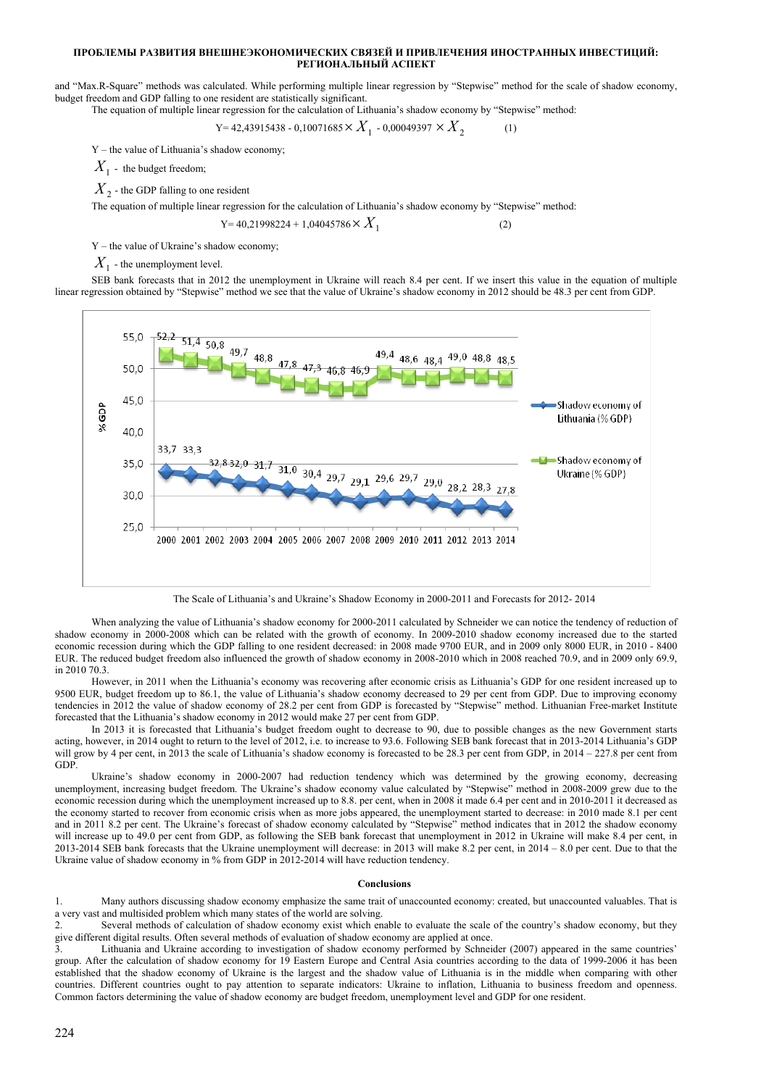and "Max.R-Square" methods was calculated. While performing multiple linear regression by "Stepwise" method for the scale of shadow economy, budget freedom and GDP falling to one resident are statistically significant. The equation of multiple linear regression for the calculation of Lithuania's shadow economy by "Stepwise" method:

 $Y= 42,43915438 - 0,10071685 \times X_1 - 0,00049397 \times X_2$  (1)

Y – the value of Lithuania's shadow economy;

 $X_1$  - the budget freedom;

 $X<sub>2</sub>$  - the GDP falling to one resident

The equation of multiple linear regression for the calculation of Lithuania's shadow economy by "Stepwise" method:

 $Y= 40,21998224 + 1,04045786 \times X_1$  (2)

Y – the value of Ukraine's shadow economy;

 $X_1$  - the unemployment level.

SEB bank forecasts that in 2012 the unemployment in Ukraine will reach 8.4 per cent. If we insert this value in the equation of multiple linear regression obtained by "Stepwise" method we see that the value of Ukraine's shadow economy in 2012 should be 48.3 per cent from GDP.



The Scale of Lithuania's and Ukraine's Shadow Economy in 2000-2011 and Forecasts for 2012- 2014

When analyzing the value of Lithuania's shadow economy for 2000-2011 calculated by Schneider we can notice the tendency of reduction of shadow economy in 2000-2008 which can be related with the growth of economy. In 2009-2010 shadow economy increased due to the started economic recession during which the GDP falling to one resident decreased: in 2008 made 9700 EUR, and in 2009 only 8000 EUR, in 2010 - 8400 EUR. The reduced budget freedom also influenced the growth of shadow economy in 2008-2010 which in 2008 reached 70.9, and in 2009 only 69.9, in 2010 70.3.

However, in 2011 when the Lithuania's economy was recovering after economic crisis as Lithuania's GDP for one resident increased up to 9500 EUR, budget freedom up to 86.1, the value of Lithuania's shadow economy decreased to 29 per cent from GDP. Due to improving economy tendencies in 2012 the value of shadow economy of 28.2 per cent from GDP is forecasted by "Stepwise" method. Lithuanian Free-market Institute forecasted that the Lithuania's shadow economy in 2012 would make 27 per cent from GDP.

In 2013 it is forecasted that Lithuania's budget freedom ought to decrease to 90, due to possible changes as the new Government starts acting, however, in 2014 ought to return to the level of 2012, i.e. to increase to 93.6. Following SEB bank forecast that in 2013-2014 Lithuania's GDP will grow by 4 per cent, in 2013 the scale of Lithuania's shadow economy is forecasted to be 28.3 per cent from GDP, in 2014 – 227.8 per cent from GDP.

Ukraine's shadow economy in 2000-2007 had reduction tendency which was determined by the growing economy, decreasing unemployment, increasing budget freedom. The Ukraine's shadow economy value calculated by "Stepwise" method in 2008-2009 grew due to the economic recession during which the unemployment increased up to 8.8. per cent, when in 2008 it made 6.4 per cent and in 2010-2011 it decreased as the economy started to recover from economic crisis when as more jobs appeared, the unemployment started to decrease: in 2010 made 8.1 per cent and in 2011 8.2 per cent. The Ukraine's forecast of shadow economy calculated by "Stepwise" method indicates that in 2012 the shadow economy will increase up to 49.0 per cent from GDP, as following the SEB bank forecast that unemployment in 2012 in Ukraine will make 8.4 per cent, in 2013-2014 SEB bank forecasts that the Ukraine unemployment will decrease: in 2013 will make 8.2 per cent, in 2014 – 8.0 per cent. Due to that the Ukraine value of shadow economy in % from GDP in 2012-2014 will have reduction tendency.

#### **Conclusions**

1. Many authors discussing shadow economy emphasize the same trait of unaccounted economy: created, but unaccounted valuables. That is a very vast and multisided problem which many states of the world are solving.

2. Several methods of calculation of shadow economy exist which enable to evaluate the scale of the country's shadow economy, but they give different digital results. Often several methods of evaluation of shadow economy are applied at once.

Lithuania and Ukraine according to investigation of shadow economy performed by Schneider (2007) appeared in the same countries' group. After the calculation of shadow economy for 19 Eastern Europe and Central Asia countries according to the data of 1999-2006 it has been established that the shadow economy of Ukraine is the largest and the shadow value of Lithuania is in the middle when comparing with other countries. Different countries ought to pay attention to separate indicators: Ukraine to inflation, Lithuania to business freedom and openness. Common factors determining the value of shadow economy are budget freedom, unemployment level and GDP for one resident.